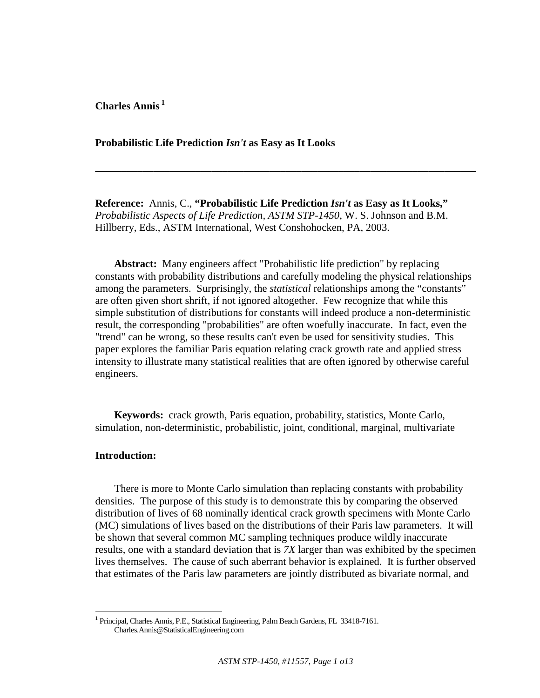**Charles Annis<sup>1</sup>**

**Probabilistic Life Prediction** *Isn't* **as Easy as It Looks** 

**Reference:** Annis, C., **"Probabilistic Life Prediction** *Isn't* **as Easy as It Looks,"** *Probabilistic Aspects of Life Prediction, ASTM STP-1450*, W. S. Johnson and B.M. Hillberry, Eds., ASTM International, West Conshohocken, PA, 2003.

**\_\_\_\_\_\_\_\_\_\_\_\_\_\_\_\_\_\_\_\_\_\_\_\_\_\_\_\_\_\_\_\_\_\_\_\_\_\_\_\_\_\_\_\_\_\_\_\_\_\_\_\_\_\_\_\_\_\_\_\_\_\_\_\_\_\_\_\_\_\_\_\_** 

**Abstract:** Many engineers affect "Probabilistic life prediction" by replacing constants with probability distributions and carefully modeling the physical relationships among the parameters. Surprisingly, the *statistical* relationships among the "constants" are often given short shrift, if not ignored altogether. Few recognize that while this simple substitution of distributions for constants will indeed produce a non-deterministic result, the corresponding "probabilities" are often woefully inaccurate. In fact, even the "trend" can be wrong, so these results can't even be used for sensitivity studies. This paper explores the familiar Paris equation relating crack growth rate and applied stress intensity to illustrate many statistical realities that are often ignored by otherwise careful engineers.

**Keywords:** crack growth, Paris equation, probability, statistics, Monte Carlo, simulation, non-deterministic, probabilistic, joint, conditional, marginal, multivariate

### **Introduction:**

<u>.</u>

There is more to Monte Carlo simulation than replacing constants with probability densities. The purpose of this study is to demonstrate this by comparing the observed distribution of lives of 68 nominally identical crack growth specimens with Monte Carlo (MC) simulations of lives based on the distributions of their Paris law parameters. It will be shown that several common MC sampling techniques produce wildly inaccurate results, one with a standard deviation that is *7X* larger than was exhibited by the specimen lives themselves. The cause of such aberrant behavior is explained. It is further observed that estimates of the Paris law parameters are jointly distributed as bivariate normal, and

<sup>&</sup>lt;sup>1</sup> Principal, Charles Annis, P.E., Statistical Engineering, Palm Beach Gardens, FL 33418-7161. Charles.Annis@StatisticalEngineering.com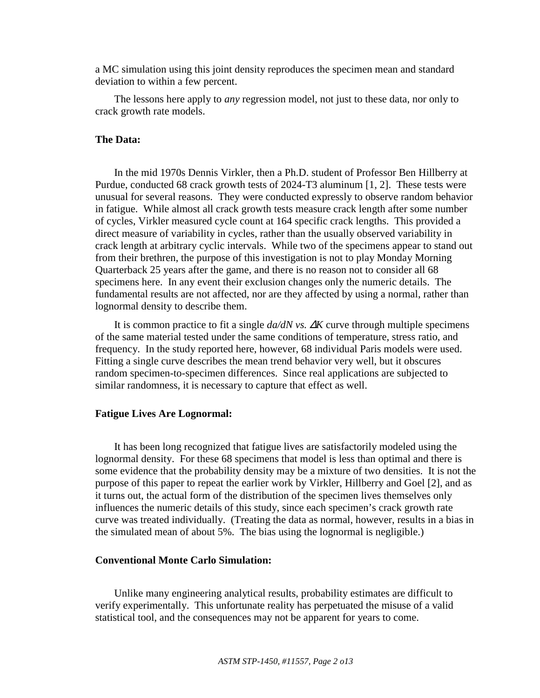a MC simulation using this joint density reproduces the specimen mean and standard deviation to within a few percent.

The lessons here apply to *any* regression model, not just to these data, nor only to crack growth rate models.

# **The Data:**

In the mid 1970s Dennis Virkler, then a Ph.D. student of Professor Ben Hillberry at Purdue, conducted 68 crack growth tests of 2024-T3 aluminum [1, 2]. These tests were unusual for several reasons. They were conducted expressly to observe random behavior in fatigue. While almost all crack growth tests measure crack length after some number of cycles, Virkler measured cycle count at 164 specific crack lengths. This provided a direct measure of variability in cycles, rather than the usually observed variability in crack length at arbitrary cyclic intervals. While two of the specimens appear to stand out from their brethren, the purpose of this investigation is not to play Monday Morning Quarterback 25 years after the game, and there is no reason not to consider all 68 specimens here. In any event their exclusion changes only the numeric details. The fundamental results are not affected, nor are they affected by using a normal, rather than lognormal density to describe them.

It is common practice to fit a single *da/dN vs.* ∆*K* curve through multiple specimens of the same material tested under the same conditions of temperature, stress ratio, and frequency. In the study reported here, however, 68 individual Paris models were used. Fitting a single curve describes the mean trend behavior very well, but it obscures random specimen-to-specimen differences. Since real applications are subjected to similar randomness, it is necessary to capture that effect as well.

# **Fatigue Lives Are Lognormal:**

It has been long recognized that fatigue lives are satisfactorily modeled using the lognormal density. For these 68 specimens that model is less than optimal and there is some evidence that the probability density may be a mixture of two densities. It is not the purpose of this paper to repeat the earlier work by Virkler, Hillberry and Goel [2], and as it turns out, the actual form of the distribution of the specimen lives themselves only influences the numeric details of this study, since each specimen's crack growth rate curve was treated individually. (Treating the data as normal, however, results in a bias in the simulated mean of about 5%. The bias using the lognormal is negligible.)

#### **Conventional Monte Carlo Simulation:**

Unlike many engineering analytical results, probability estimates are difficult to verify experimentally. This unfortunate reality has perpetuated the misuse of a valid statistical tool, and the consequences may not be apparent for years to come.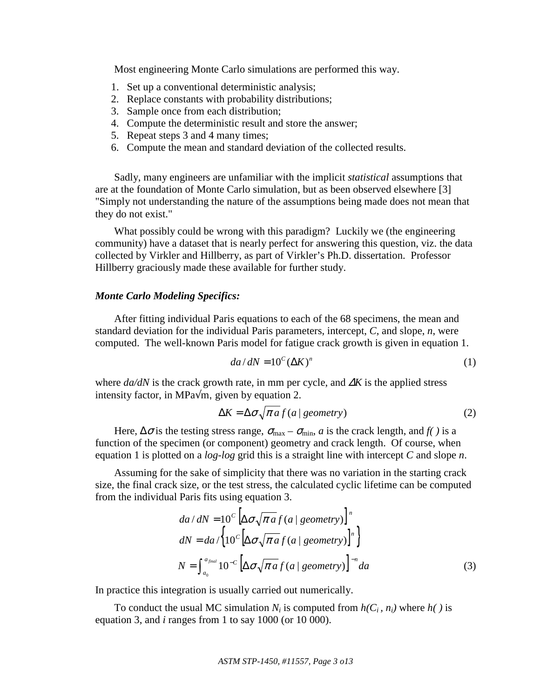Most engineering Monte Carlo simulations are performed this way.

- 1. Set up a conventional deterministic analysis;
- 2. Replace constants with probability distributions;
- 3. Sample once from each distribution;
- 4. Compute the deterministic result and store the answer;
- 5. Repeat steps 3 and 4 many times;
- 6. Compute the mean and standard deviation of the collected results.

Sadly, many engineers are unfamiliar with the implicit *statistical* assumptions that are at the foundation of Monte Carlo simulation, but as been observed elsewhere [3] "Simply not understanding the nature of the assumptions being made does not mean that they do not exist."

What possibly could be wrong with this paradigm? Luckily we (the engineering community) have a dataset that is nearly perfect for answering this question, viz. the data collected by Virkler and Hillberry, as part of Virkler's Ph.D. dissertation. Professor Hillberry graciously made these available for further study.

# *Monte Carlo Modeling Specifics:*

After fitting individual Paris equations to each of the 68 specimens, the mean and standard deviation for the individual Paris parameters, intercept, *C*, and slope, *n*, were computed. The well-known Paris model for fatigue crack growth is given in equation 1.

$$
da/dN = 10^{C} (\Delta K)^{n}
$$
 (1)

where *da/dN* is the crack growth rate, in mm per cycle, and ∆*K* is the applied stress intensity factor, in MPa $\sqrt{m}$ , given by equation 2.

$$
\Delta K = \Delta \sigma \sqrt{\pi a f(a \mid geometry)} \tag{2}
$$

Here,  $\Delta \sigma$  is the testing stress range,  $\sigma_{\text{max}} - \sigma_{\text{min}}$ , *a* is the crack length, and *f( )* is a function of the specimen (or component) geometry and crack length. Of course, when equation 1 is plotted on a *log-log* grid this is a straight line with intercept *C* and slope *n*.

Assuming for the sake of simplicity that there was no variation in the starting crack size, the final crack size, or the test stress, the calculated cyclic lifetime can be computed from the individual Paris fits using equation 3.

$$
da/dN = 10^{c} \left[ \Delta \sigma \sqrt{\pi a} f(a \mid geometry) \right]^{n}
$$
  
\n
$$
dN = da / \left\{ 10^{c} \left[ \Delta \sigma \sqrt{\pi a} f(a \mid geometry) \right]^{n} \right\}
$$
  
\n
$$
N = \int_{a_{0}}^{a_{final}} 10^{-c} \left[ \Delta \sigma \sqrt{\pi a} f(a \mid geometry) \right]^{-n} da
$$
\n(3)

In practice this integration is usually carried out numerically.

To conduct the usual MC simulation  $N_i$  is computed from  $h(C_i, n_i)$  where  $h(i)$  is equation 3, and *i* ranges from 1 to say 1000 (or 10 000).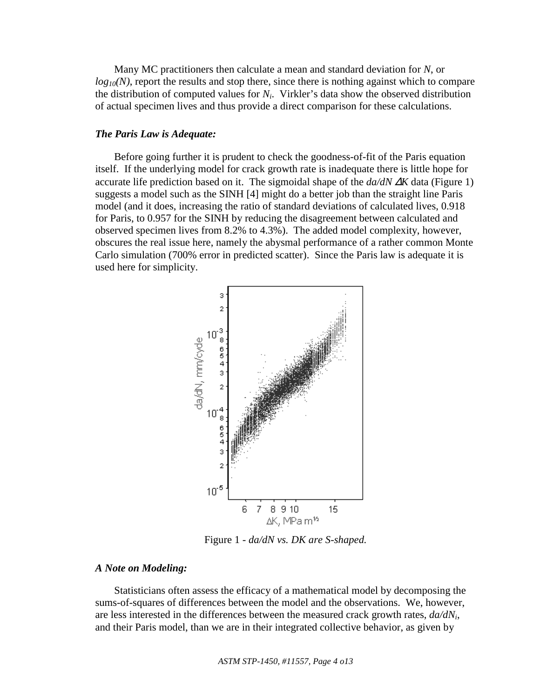Many MC practitioners then calculate a mean and standard deviation for *N*, or *log<sub>10</sub>(N)*, report the results and stop there, since there is nothing against which to compare the distribution of computed values for  $N_i$ . Virkler's data show the observed distribution of actual specimen lives and thus provide a direct comparison for these calculations.

#### *The Paris Law is Adequate:*

Before going further it is prudent to check the goodness-of-fit of the Paris equation itself. If the underlying model for crack growth rate is inadequate there is little hope for accurate life prediction based on it. The sigmoidal shape of the *da/dN* ∆*K* data (Figure 1) suggests a model such as the SINH [4] might do a better job than the straight line Paris model (and it does, increasing the ratio of standard deviations of calculated lives, 0.918 for Paris, to 0.957 for the SINH by reducing the disagreement between calculated and observed specimen lives from 8.2% to 4.3%). The added model complexity, however, obscures the real issue here, namely the abysmal performance of a rather common Monte Carlo simulation (700% error in predicted scatter). Since the Paris law is adequate it is used here for simplicity.



Figure 1 - *da/dN vs. DK are S-shaped.* 

# *A Note on Modeling:*

Statisticians often assess the efficacy of a mathematical model by decomposing the sums-of-squares of differences between the model and the observations. We, however, are less interested in the differences between the measured crack growth rates, *da/dNi*, and their Paris model, than we are in their integrated collective behavior, as given by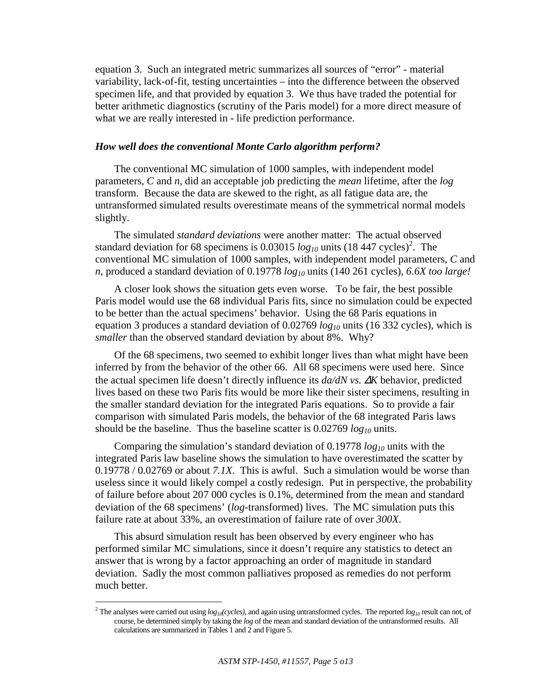equation 3. Such an integrated metric summarizes all sources of "error" - material variability, lack-of-fit, testing uncertainties – into the difference between the observed specimen life, and that provided by equation 3. We thus have traded the potential for better arithmetic diagnostics (scrutiny of the Paris model) for a more direct measure of what we are really interested in - life prediction performance.

### *How well does the conventional Monte Carlo algorithm perform?*

The conventional MC simulation of 1000 samples, with independent model parameters, *C* and *n*, did an acceptable job predicting the *mean* lifetime, after the *log* transform. Because the data are skewed to the right, as all fatigue data are, the untransformed simulated results overestimate means of the symmetrical normal models slightly.

The simulated *standard deviations* were another matter: The actual observed standard deviation for 68 specimens is  $0.03015 \log_{10}$  units  $(18447 \text{ cycles})^2$ . The conventional MC simulation of 1000 samples, with independent model parameters, *C* and *n*, produced a standard deviation of 0.19778 *log10* units (140 261 cycles), *6.6X too large!*

A closer look shows the situation gets even worse. To be fair, the best possible Paris model would use the 68 individual Paris fits, since no simulation could be expected to be better than the actual specimens' behavior. Using the 68 Paris equations in equation 3 produces a standard deviation of 0.02769 *log10* units (16 332 cycles), which is *smaller* than the observed standard deviation by about 8%. Why?

Of the 68 specimens, two seemed to exhibit longer lives than what might have been inferred by from the behavior of the other 66. All 68 specimens were used here. Since the actual specimen life doesn't directly influence its *da/dN vs.* ∆*K* behavior, predicted lives based on these two Paris fits would be more like their sister specimens, resulting in the smaller standard deviation for the integrated Paris equations. So to provide a fair comparison with simulated Paris models, the behavior of the 68 integrated Paris laws should be the baseline. Thus the baseline scatter is 0.02769 *log10* units.

Comparing the simulation's standard deviation of 0.19778 *log10* units with the integrated Paris law baseline shows the simulation to have overestimated the scatter by 0.19778 / 0.02769 or about *7.1X*. This is awful. Such a simulation would be worse than useless since it would likely compel a costly redesign. Put in perspective, the probability of failure before about 207 000 cycles is 0.1%, determined from the mean and standard deviation of the 68 specimens' (*log*-transformed) lives. The MC simulation puts this failure rate at about 33%, an overestimation of failure rate of over *300X*.

This absurd simulation result has been observed by every engineer who has performed similar MC simulations, since it doesn't require any statistics to detect an answer that is wrong by a factor approaching an order of magnitude in standard deviation. Sadly the most common palliatives proposed as remedies do not perform much better.

1

<sup>&</sup>lt;sup>2</sup> The analyses were carried out using  $log_{10}(cycles)$ , and again using untransformed cycles. The reported  $log_{10}$  result can not, of course, be determined simply by taking the *log* of the mean and standard deviation of the untransformed results. All calculations are summarized in Tables 1 and 2 and Figure 5.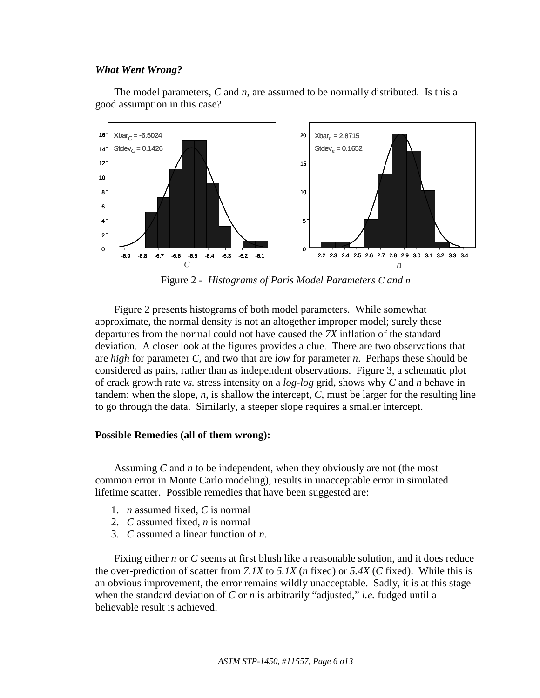#### *What Went Wrong?*

The model parameters, *C* and *n*, are assumed to be normally distributed. Is this a good assumption in this case?



Figure 2 - *Histograms of Paris Model Parameters C and n*

Figure 2 presents histograms of both model parameters. While somewhat approximate, the normal density is not an altogether improper model; surely these departures from the normal could not have caused the *7X* inflation of the standard deviation. A closer look at the figures provides a clue. There are two observations that are *high* for parameter *C*, and two that are *low* for parameter *n*. Perhaps these should be considered as pairs, rather than as independent observations. Figure 3, a schematic plot of crack growth rate *vs.* stress intensity on a *log-log* grid, shows why *C* and *n* behave in tandem: when the slope,  $n$ , is shallow the intercept,  $C$ , must be larger for the resulting line to go through the data. Similarly, a steeper slope requires a smaller intercept.

## **Possible Remedies (all of them wrong):**

Assuming *C* and *n* to be independent, when they obviously are not (the most common error in Monte Carlo modeling), results in unacceptable error in simulated lifetime scatter. Possible remedies that have been suggested are:

- 1. *n* assumed fixed, *C* is normal
- 2. *C* assumed fixed, *n* is normal
- 3. *C* assumed a linear function of *n*.

Fixing either *n* or *C* seems at first blush like a reasonable solution, and it does reduce the over-prediction of scatter from *7.1X* to *5.1X* (*n* fixed) or *5.4X* (*C* fixed). While this is an obvious improvement, the error remains wildly unacceptable. Sadly, it is at this stage when the standard deviation of *C* or *n* is arbitrarily "adjusted," *i.e.* fudged until a believable result is achieved.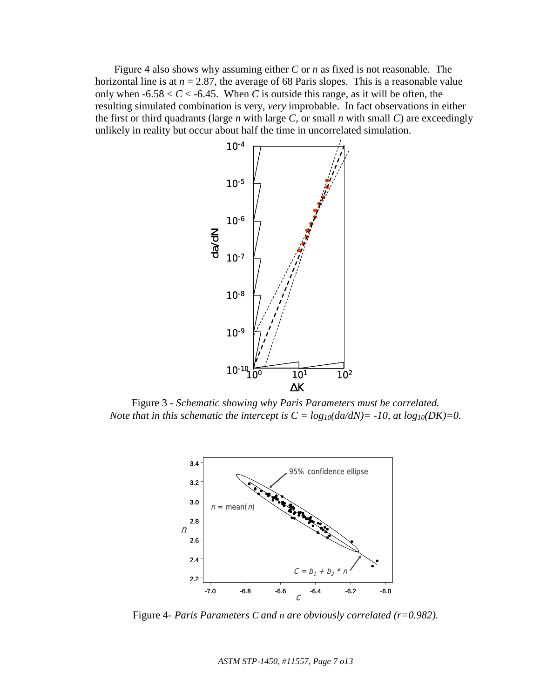Figure 4 also shows why assuming either *C* or *n* as fixed is not reasonable. The horizontal line is at  $n = 2.87$ , the average of 68 Paris slopes. This is a reasonable value only when  $-6.58 < C < -6.45$ . When *C* is outside this range, as it will be often, the resulting simulated combination is very, *very* improbable. In fact observations in either the first or third quadrants (large *n* with large *C*, or small *n* with small *C*) are exceedingly unlikely in reality but occur about half the time in uncorrelated simulation.



Figure 3 - *Schematic showing why Paris Parameters must be correlated. Note that in this schematic the intercept is*  $C = log_{10}(da/dN) = -10$ , *at*  $log_{10}(DK) = 0$ .



Figure 4- *Paris Parameters C and n are obviously correlated (r=0.982).* 

*ASTM STP-1450, #11557, Page 7 o13*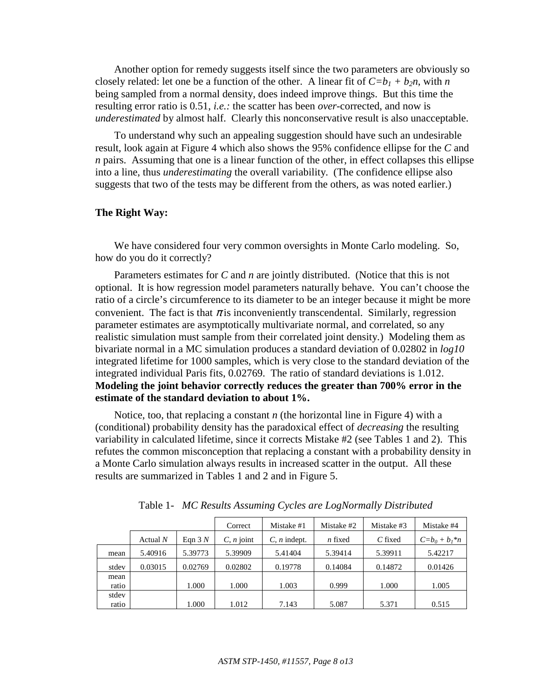Another option for remedy suggests itself since the two parameters are obviously so closely related: let one be a function of the other. A linear fit of  $C=b_1 + b_2n$ , with *n* being sampled from a normal density, does indeed improve things. But this time the resulting error ratio is 0.51, *i.e.:* the scatter has been *over*-corrected, and now is *underestimated* by almost half. Clearly this nonconservative result is also unacceptable.

To understand why such an appealing suggestion should have such an undesirable result, look again at Figure 4 which also shows the 95% confidence ellipse for the *C* and *n* pairs. Assuming that one is a linear function of the other, in effect collapses this ellipse into a line, thus *underestimating* the overall variability. (The confidence ellipse also suggests that two of the tests may be different from the others, as was noted earlier.)

# **The Right Way:**

We have considered four very common oversights in Monte Carlo modeling. So, how do you do it correctly?

Parameters estimates for *C* and *n* are jointly distributed. (Notice that this is not optional. It is how regression model parameters naturally behave. You can't choose the ratio of a circle's circumference to its diameter to be an integer because it might be more convenient. The fact is that  $\pi$  is inconveniently transcendental. Similarly, regression parameter estimates are asymptotically multivariate normal, and correlated, so any realistic simulation must sample from their correlated joint density.) Modeling them as bivariate normal in a MC simulation produces a standard deviation of 0.02802 in *log10* integrated lifetime for 1000 samples, which is very close to the standard deviation of the integrated individual Paris fits, 0.02769. The ratio of standard deviations is 1.012. **Modeling the joint behavior correctly reduces the greater than 700% error in the estimate of the standard deviation to about 1%.**

Notice, too, that replacing a constant *n* (the horizontal line in Figure 4) with a (conditional) probability density has the paradoxical effect of *decreasing* the resulting variability in calculated lifetime, since it corrects Mistake #2 (see Tables 1 and 2). This refutes the common misconception that replacing a constant with a probability density in a Monte Carlo simulation always results in increased scatter in the output. All these results are summarized in Tables 1 and 2 and in Figure 5.

|       |            |          | Correct              | Mistake #1             | Mistake #2 | Mistake #3 | Mistake #4          |
|-------|------------|----------|----------------------|------------------------|------------|------------|---------------------|
|       | Actual $N$ | Eqn $3N$ | $C$ , <i>n</i> joint | $C$ , <i>n</i> indept. | $n$ fixed  | $C$ fixed  | $C = b_0 + b_1 * n$ |
| mean  | 5.40916    | 5.39773  | 5.39909              | 5.41404                | 5.39414    | 5.39911    | 5.42217             |
| stdev | 0.03015    | 0.02769  | 0.02802              | 0.19778                | 0.14084    | 0.14872    | 0.01426             |
| mean  |            |          |                      |                        |            |            |                     |
| ratio |            | 1.000    | 1.000                | 1.003                  | 0.999      | 1.000      | 1.005               |
| stdev |            |          |                      |                        |            |            |                     |
| ratio |            | 1.000    | 1.012                | 7.143                  | 5.087      | 5.371      | 0.515               |

Table 1- *MC Results Assuming Cycles are LogNormally Distributed*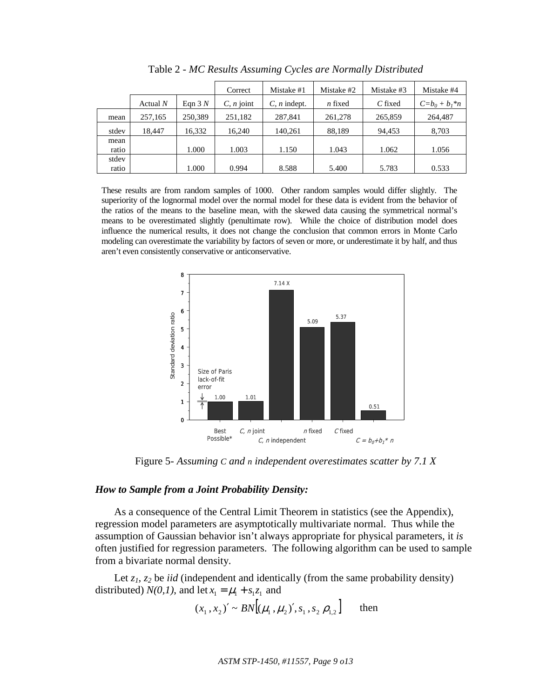|       |            |          | Correct              | Mistake #1             | Mistake #2 | Mistake #3 | Mistake #4          |
|-------|------------|----------|----------------------|------------------------|------------|------------|---------------------|
|       | Actual $N$ | Eqn $3N$ | $C$ , <i>n</i> joint | $C$ , <i>n</i> indept. | $n$ fixed  | C fixed    | $C = b_0 + b_1 * n$ |
| mean  | 257,165    | 250,389  | 251,182              | 287,841                | 261,278    | 265,859    | 264,487             |
| stdev | 18.447     | 16,332   | 16.240               | 140.261                | 88,189     | 94,453     | 8,703               |
| mean  |            |          |                      |                        |            |            |                     |
| ratio |            | 1.000    | 1.003                | 1.150                  | 1.043      | 1.062      | 1.056               |
| stdev |            |          |                      |                        |            |            |                     |
| ratio |            | 1.000    | 0.994                | 8.588                  | 5.400      | 5.783      | 0.533               |

Table 2 - *MC Results Assuming Cycles are Normally Distributed*

These results are from random samples of 1000. Other random samples would differ slightly. The superiority of the lognormal model over the normal model for these data is evident from the behavior of the ratios of the means to the baseline mean, with the skewed data causing the symmetrical normal's means to be overestimated slightly (penultimate row). While the choice of distribution model does influence the numerical results, it does not change the conclusion that common errors in Monte Carlo modeling can overestimate the variability by factors of seven or more, or underestimate it by half, and thus aren't even consistently conservative or anticonservative.



Figure 5- *Assuming C and n independent overestimates scatter by 7.1 X* 

# *How to Sample from a Joint Probability Density:*

As a consequence of the Central Limit Theorem in statistics (see the Appendix), regression model parameters are asymptotically multivariate normal. Thus while the assumption of Gaussian behavior isn't always appropriate for physical parameters, it *is* often justified for regression parameters. The following algorithm can be used to sample from a bivariate normal density.

Let  $z_1$ ,  $z_2$  be *iid* (independent and identically (from the same probability density) distributed)  $N(0,1)$ , and let  $x_1 = \mu_1 + s_1 z_1$  and

$$
(x_1, x_2)' \sim BN[(\mu_1, \mu_2)', s_1, s_2 \rho_{1,2}]
$$
 then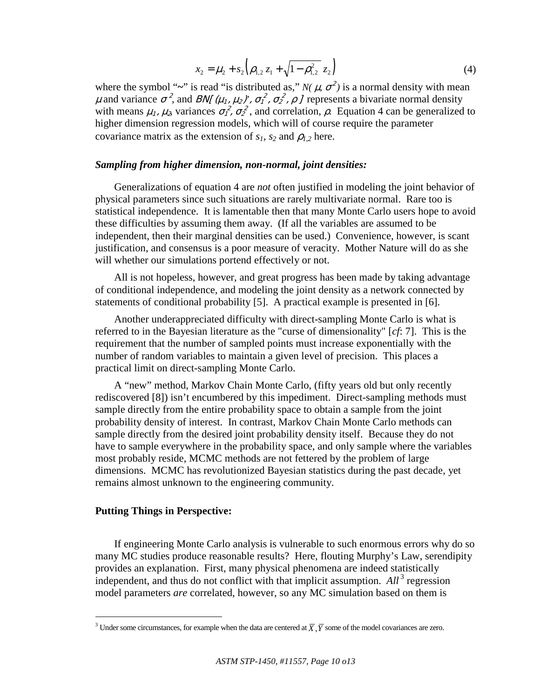$$
x_2 = \mu_2 + s_2 \left( \rho_{1,2} z_1 + \sqrt{1 - \rho_{1,2}^2} z_2 \right)
$$
 (4)

where the symbol "~" is read "is distributed as,"  $N(\mu, \sigma^2)$  is a normal density with mean  $\mu$  and variance  $\sigma^2$ , and *BN[ (* $\mu_1$ *,*  $\mu_2$ *)',*  $\sigma_1^2$ ,  $\sigma_2^2$ ,  $\rho$  ] represents a bivariate normal density with means  $\mu_1$ ,  $\mu_2$ , variances  $\sigma_1^2$ ,  $\sigma_2^2$ , and correlation,  $\rho$ . Equation 4 can be generalized to higher dimension regression models, which will of course require the parameter covariance matrix as the extension of  $s_1$ ,  $s_2$  and  $\rho_1$ <sub>2</sub> here.

# *Sampling from higher dimension, non-normal, joint densities:*

Generalizations of equation 4 are *not* often justified in modeling the joint behavior of physical parameters since such situations are rarely multivariate normal. Rare too is statistical independence. It is lamentable then that many Monte Carlo users hope to avoid these difficulties by assuming them away. (If all the variables are assumed to be independent, then their marginal densities can be used.) Convenience, however, is scant justification, and consensus is a poor measure of veracity. Mother Nature will do as she will whether our simulations portend effectively or not.

All is not hopeless, however, and great progress has been made by taking advantage of conditional independence, and modeling the joint density as a network connected by statements of conditional probability [5]. A practical example is presented in [6].

Another underappreciated difficulty with direct-sampling Monte Carlo is what is referred to in the Bayesian literature as the "curse of dimensionality" [*cf*: 7]. This is the requirement that the number of sampled points must increase exponentially with the number of random variables to maintain a given level of precision. This places a practical limit on direct-sampling Monte Carlo.

A "new" method, Markov Chain Monte Carlo, (fifty years old but only recently rediscovered [8]) isn't encumbered by this impediment. Direct-sampling methods must sample directly from the entire probability space to obtain a sample from the joint probability density of interest. In contrast, Markov Chain Monte Carlo methods can sample directly from the desired joint probability density itself. Because they do not have to sample everywhere in the probability space, and only sample where the variables most probably reside, MCMC methods are not fettered by the problem of large dimensions. MCMC has revolutionized Bayesian statistics during the past decade, yet remains almost unknown to the engineering community.

# **Putting Things in Perspective:**

1

If engineering Monte Carlo analysis is vulnerable to such enormous errors why do so many MC studies produce reasonable results? Here, flouting Murphy's Law, serendipity provides an explanation. First, many physical phenomena are indeed statistically independent, and thus do not conflict with that implicit assumption.  $All<sup>3</sup>$  regression model parameters *are* correlated, however, so any MC simulation based on them is

<sup>&</sup>lt;sup>3</sup> Under some circumstances, for example when the data are centered at  $\overline{X}$ ,  $\overline{Y}$  some of the model covariances are zero.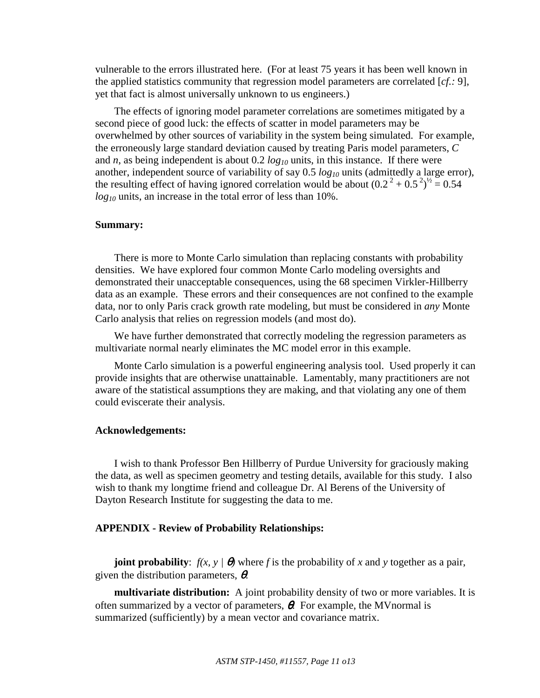vulnerable to the errors illustrated here. (For at least 75 years it has been well known in the applied statistics community that regression model parameters are correlated [*cf.:* 9], yet that fact is almost universally unknown to us engineers.)

The effects of ignoring model parameter correlations are sometimes mitigated by a second piece of good luck: the effects of scatter in model parameters may be overwhelmed by other sources of variability in the system being simulated. For example, the erroneously large standard deviation caused by treating Paris model parameters, *C* and *n*, as being independent is about 0.2  $log_{10}$  units, in this instance. If there were another, independent source of variability of say 0.5  $log_{10}$  units (admittedly a large error), the resulting effect of having ignored correlation would be about  $(0.2^2 + 0.5^2)^{1/2} = 0.54$ *log10* units, an increase in the total error of less than 10%.

# **Summary:**

There is more to Monte Carlo simulation than replacing constants with probability densities. We have explored four common Monte Carlo modeling oversights and demonstrated their unacceptable consequences, using the 68 specimen Virkler-Hillberry data as an example. These errors and their consequences are not confined to the example data, nor to only Paris crack growth rate modeling, but must be considered in *any* Monte Carlo analysis that relies on regression models (and most do).

We have further demonstrated that correctly modeling the regression parameters as multivariate normal nearly eliminates the MC model error in this example.

Monte Carlo simulation is a powerful engineering analysis tool. Used properly it can provide insights that are otherwise unattainable. Lamentably, many practitioners are not aware of the statistical assumptions they are making, and that violating any one of them could eviscerate their analysis.

#### **Acknowledgements:**

I wish to thank Professor Ben Hillberry of Purdue University for graciously making the data, as well as specimen geometry and testing details, available for this study. I also wish to thank my longtime friend and colleague Dr. Al Berens of the University of Dayton Research Institute for suggesting the data to me.

# **APPENDIX - Review of Probability Relationships:**

**joint probability**:  $f(x, y | \theta)$  where *f* is the probability of *x* and *y* together as a pair, given the distribution parameters,  $\theta$ .

**multivariate distribution:** A joint probability density of two or more variables. It is often summarized by a vector of parameters,  $\theta$ . For example, the MVnormal is summarized (sufficiently) by a mean vector and covariance matrix.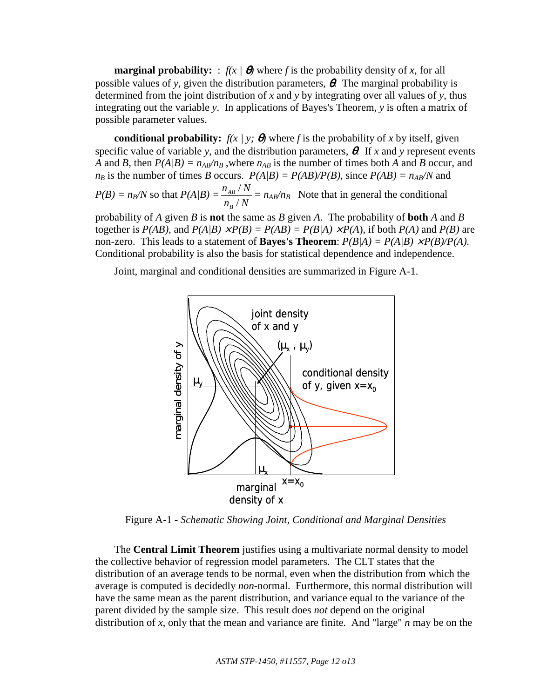**marginal probability:** :  $f(x | \theta)$  where f is the probability density of x, for all possible values of *y*, given the distribution parameters, θ. The marginal probability is determined from the joint distribution of *x* and *y* by integrating over all values of *y*, thus integrating out the variable *y*. In applications of Bayes's Theorem, *y* is often a matrix of possible parameter values.

**conditional probability:**  $f(x | y; \theta)$  where *f* is the probability of *x* by itself, given specific value of variable *y*, and the distribution parameters, θ. If *x* and *y* represent events *A* and *B*, then  $P(A|B) = n_{AB}/n_B$ , where  $n_{AB}$  is the number of times both *A* and *B* occur, and  $n_B$  is the number of times *B* occurs.  $P(A/B) = P(AB)/P(B)$ , since  $P(AB) = n_{AB}/N$  and  $n_{AB}$  /  $N$ 

 $P(B) = n_B/N$  so that  $P(A/B) =$  $n_{\rm B}$  /  $N$ *B AB* /  $\frac{N}{\Delta t} = n_{AB}/n_B$  Note that in general the conditional

probability of *A* given *B* is **not** the same as *B* given *A*. The probability of **both** *A* and *B* together is  $P(AB)$ , and  $P(A|B) \times P(B) = P(AB) = P(B|A) \times P(A)$ , if both  $P(A)$  and  $P(B)$  are non-zero. This leads to a statement of **Bayes's Theorem**:  $P(B|A) = P(A|B) \times P(B)/P(A)$ . Conditional probability is also the basis for statistical dependence and independence.

Joint, marginal and conditional densities are summarized in Figure A-1.



Figure A-1 - *Schematic Showing Joint, Conditional and Marginal Densities* 

The **Central Limit Theorem** justifies using a multivariate normal density to model the collective behavior of regression model parameters. The CLT states that the distribution of an average tends to be normal, even when the distribution from which the average is computed is decidedly *non*-normal. Furthermore, this normal distribution will have the same mean as the parent distribution, and variance equal to the variance of the parent divided by the sample size. This result does *not* depend on the original distribution of *x*, only that the mean and variance are finite. And "large" *n* may be on the